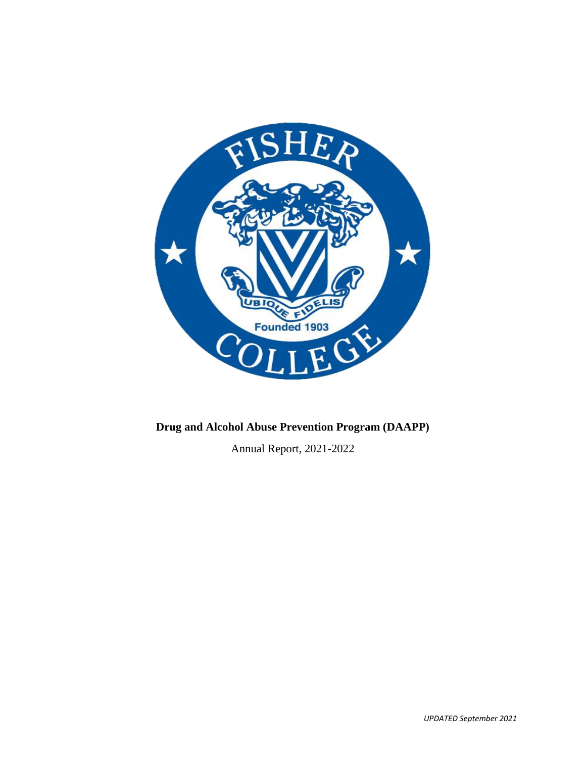

# **Drug and Alcohol Abuse Prevention Program (DAAPP)**

Annual Report, 2021-2022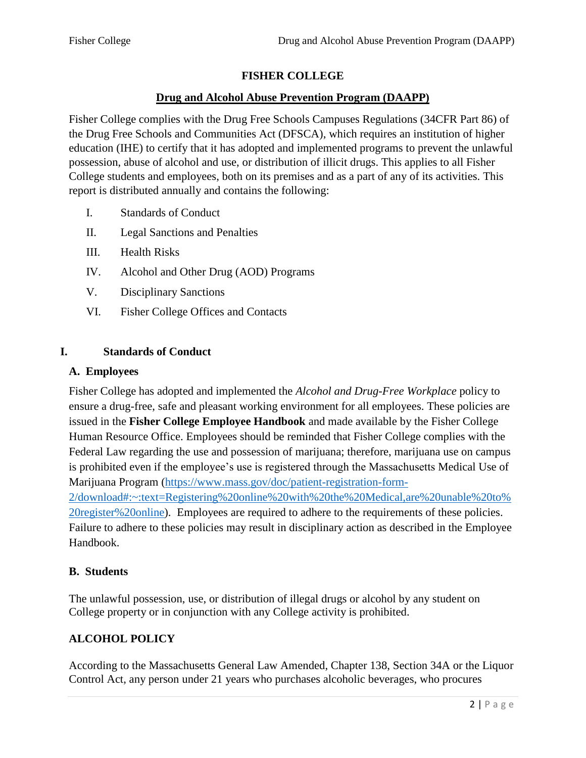# **FISHER COLLEGE**

## **Drug and Alcohol Abuse Prevention Program (DAAPP)**

Fisher College complies with the Drug Free Schools Campuses Regulations (34CFR Part 86) of the Drug Free Schools and Communities Act (DFSCA), which requires an institution of higher education (IHE) to certify that it has adopted and implemented programs to prevent the unlawful possession, abuse of alcohol and use, or distribution of illicit drugs. This applies to all Fisher College students and employees, both on its premises and as a part of any of its activities. This report is distributed annually and contains the following:

- I. Standards of Conduct
- II. Legal Sanctions and Penalties
- III. Health Risks
- IV. Alcohol and Other Drug (AOD) Programs
- V. Disciplinary Sanctions
- VI. Fisher College Offices and Contacts

#### **I. Standards of Conduct**

#### **A. Employees**

Fisher College has adopted and implemented the *Alcohol and Drug-Free Workplace* policy to ensure a drug-free, safe and pleasant working environment for all employees. These policies are issued in the **Fisher College Employee Handbook** and made available by the Fisher College Human Resource Office. Employees should be reminded that Fisher College complies with the Federal Law regarding the use and possession of marijuana; therefore, marijuana use on campus is prohibited even if the employee's use is registered through the Massachusetts Medical Use of Marijuana Program [\(https://www.mass.gov/doc/patient-registration-form-](https://www.mass.gov/doc/patient-registration-form-2/download#:~:text=Registering%20online%20with%20the%20Medical,are%20unable%20to%20register%20online)[2/download#:~:text=Registering%20online%20with%20the%20Medical,are%20unable%20to%](https://www.mass.gov/doc/patient-registration-form-2/download#:~:text=Registering%20online%20with%20the%20Medical,are%20unable%20to%20register%20online) [20register%20online\)](https://www.mass.gov/doc/patient-registration-form-2/download#:~:text=Registering%20online%20with%20the%20Medical,are%20unable%20to%20register%20online). Employees are required to adhere to the requirements of these policies. Failure to adhere to these policies may result in disciplinary action as described in the Employee Handbook.

## **B. Students**

The unlawful possession, use, or distribution of illegal drugs or alcohol by any student on College property or in conjunction with any College activity is prohibited.

## **ALCOHOL POLICY**

According to the Massachusetts General Law Amended, Chapter 138, Section 34A or the Liquor Control Act, any person under 21 years who purchases alcoholic beverages, who procures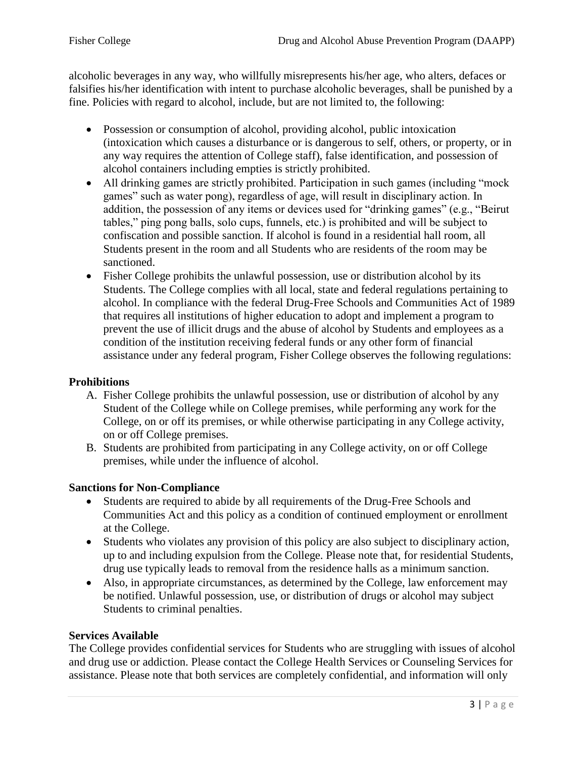alcoholic beverages in any way, who willfully misrepresents his/her age, who alters, defaces or falsifies his/her identification with intent to purchase alcoholic beverages, shall be punished by a fine. Policies with regard to alcohol, include, but are not limited to, the following:

- Possession or consumption of alcohol, providing alcohol, public intoxication (intoxication which causes a disturbance or is dangerous to self, others, or property, or in any way requires the attention of College staff), false identification, and possession of alcohol containers including empties is strictly prohibited.
- All drinking games are strictly prohibited. Participation in such games (including "mock games" such as water pong), regardless of age, will result in disciplinary action. In addition, the possession of any items or devices used for "drinking games" (e.g., "Beirut tables," ping pong balls, solo cups, funnels, etc.) is prohibited and will be subject to confiscation and possible sanction. If alcohol is found in a residential hall room, all Students present in the room and all Students who are residents of the room may be sanctioned.
- Fisher College prohibits the unlawful possession, use or distribution alcohol by its Students. The College complies with all local, state and federal regulations pertaining to alcohol. In compliance with the federal Drug-Free Schools and Communities Act of 1989 that requires all institutions of higher education to adopt and implement a program to prevent the use of illicit drugs and the abuse of alcohol by Students and employees as a condition of the institution receiving federal funds or any other form of financial assistance under any federal program, Fisher College observes the following regulations:

#### **Prohibitions**

- A. Fisher College prohibits the unlawful possession, use or distribution of alcohol by any Student of the College while on College premises, while performing any work for the College, on or off its premises, or while otherwise participating in any College activity, on or off College premises.
- B. Students are prohibited from participating in any College activity, on or off College premises, while under the influence of alcohol.

## **Sanctions for Non-Compliance**

- Students are required to abide by all requirements of the Drug-Free Schools and Communities Act and this policy as a condition of continued employment or enrollment at the College.
- Students who violates any provision of this policy are also subject to disciplinary action, up to and including expulsion from the College. Please note that, for residential Students, drug use typically leads to removal from the residence halls as a minimum sanction.
- Also, in appropriate circumstances, as determined by the College, law enforcement may be notified. Unlawful possession, use, or distribution of drugs or alcohol may subject Students to criminal penalties.

#### **Services Available**

The College provides confidential services for Students who are struggling with issues of alcohol and drug use or addiction. Please contact the College Health Services or Counseling Services for assistance. Please note that both services are completely confidential, and information will only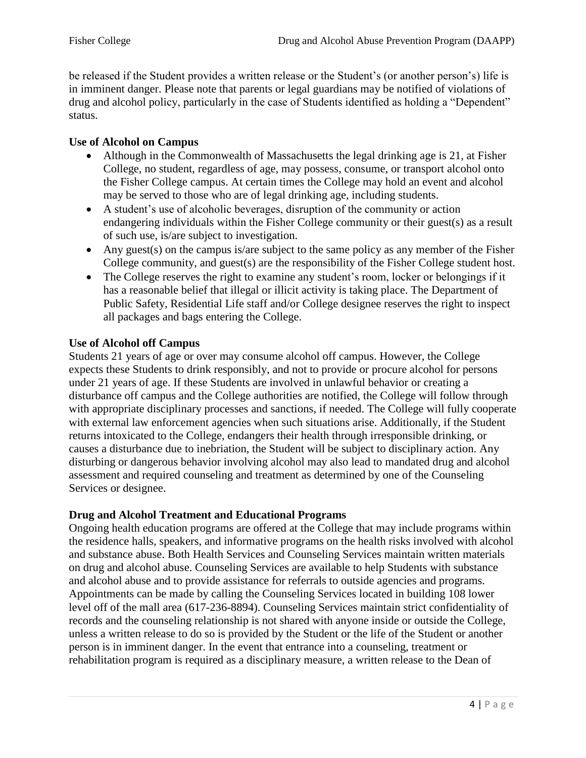be released if the Student provides a written release or the Student's (or another person's) life is in imminent danger. Please note that parents or legal guardians may be notified of violations of drug and alcohol policy, particularly in the case of Students identified as holding a "Dependent" status.

## **Use of Alcohol on Campus**

- Although in the Commonwealth of Massachusetts the legal drinking age is 21, at Fisher College, no student, regardless of age, may possess, consume, or transport alcohol onto the Fisher College campus. At certain times the College may hold an event and alcohol may be served to those who are of legal drinking age, including students.
- A student's use of alcoholic beverages, disruption of the community or action endangering individuals within the Fisher College community or their guest(s) as a result of such use, is/are subject to investigation.
- Any guest(s) on the campus is/are subject to the same policy as any member of the Fisher College community, and guest(s) are the responsibility of the Fisher College student host.
- The College reserves the right to examine any student's room, locker or belongings if it has a reasonable belief that illegal or illicit activity is taking place. The Department of Public Safety, Residential Life staff and/or College designee reserves the right to inspect all packages and bags entering the College.

## **Use of Alcohol off Campus**

Students 21 years of age or over may consume alcohol off campus. However, the College expects these Students to drink responsibly, and not to provide or procure alcohol for persons under 21 years of age. If these Students are involved in unlawful behavior or creating a disturbance off campus and the College authorities are notified, the College will follow through with appropriate disciplinary processes and sanctions, if needed. The College will fully cooperate with external law enforcement agencies when such situations arise. Additionally, if the Student returns intoxicated to the College, endangers their health through irresponsible drinking, or causes a disturbance due to inebriation, the Student will be subject to disciplinary action. Any disturbing or dangerous behavior involving alcohol may also lead to mandated drug and alcohol assessment and required counseling and treatment as determined by one of the Counseling Services or designee.

## **Drug and Alcohol Treatment and Educational Programs**

Ongoing health education programs are offered at the College that may include programs within the residence halls, speakers, and informative programs on the health risks involved with alcohol and substance abuse. Both Health Services and Counseling Services maintain written materials on drug and alcohol abuse. Counseling Services are available to help Students with substance and alcohol abuse and to provide assistance for referrals to outside agencies and programs. Appointments can be made by calling the Counseling Services located in building 108 lower level off of the mall area (617-236-8894). Counseling Services maintain strict confidentiality of records and the counseling relationship is not shared with anyone inside or outside the College, unless a written release to do so is provided by the Student or the life of the Student or another person is in imminent danger. In the event that entrance into a counseling, treatment or rehabilitation program is required as a disciplinary measure, a written release to the Dean of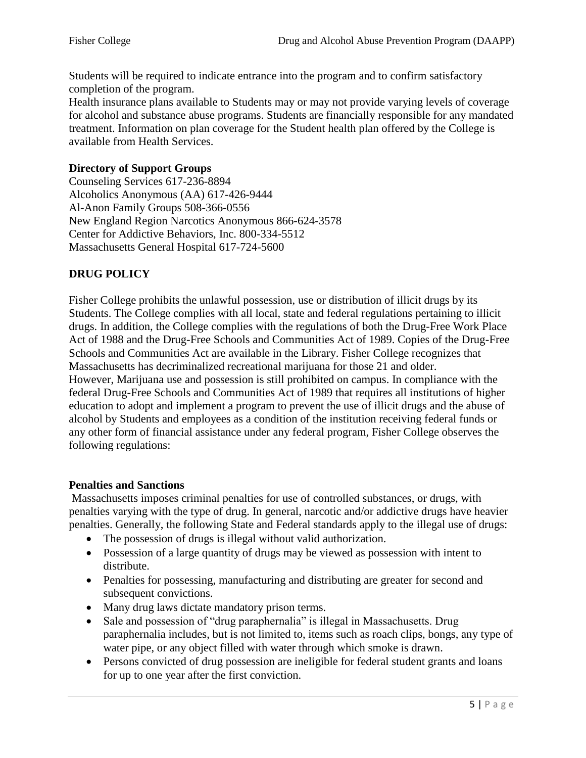Students will be required to indicate entrance into the program and to confirm satisfactory completion of the program.

Health insurance plans available to Students may or may not provide varying levels of coverage for alcohol and substance abuse programs. Students are financially responsible for any mandated treatment. Information on plan coverage for the Student health plan offered by the College is available from Health Services.

#### **Directory of Support Groups**

Counseling Services 617-236-8894 Alcoholics Anonymous (AA) 617-426-9444 Al-Anon Family Groups 508-366-0556 New England Region Narcotics Anonymous 866-624-3578 Center for Addictive Behaviors, Inc. 800-334-5512 Massachusetts General Hospital 617-724-5600

# **DRUG POLICY**

Fisher College prohibits the unlawful possession, use or distribution of illicit drugs by its Students. The College complies with all local, state and federal regulations pertaining to illicit drugs. In addition, the College complies with the regulations of both the Drug-Free Work Place Act of 1988 and the Drug-Free Schools and Communities Act of 1989. Copies of the Drug-Free Schools and Communities Act are available in the Library. Fisher College recognizes that Massachusetts has decriminalized recreational marijuana for those 21 and older. However, Marijuana use and possession is still prohibited on campus. In compliance with the federal Drug-Free Schools and Communities Act of 1989 that requires all institutions of higher education to adopt and implement a program to prevent the use of illicit drugs and the abuse of alcohol by Students and employees as a condition of the institution receiving federal funds or any other form of financial assistance under any federal program, Fisher College observes the following regulations:

#### **Penalties and Sanctions**

Massachusetts imposes criminal penalties for use of controlled substances, or drugs, with penalties varying with the type of drug. In general, narcotic and/or addictive drugs have heavier penalties. Generally, the following State and Federal standards apply to the illegal use of drugs:

- The possession of drugs is illegal without valid authorization.
- Possession of a large quantity of drugs may be viewed as possession with intent to distribute.
- Penalties for possessing, manufacturing and distributing are greater for second and subsequent convictions.
- Many drug laws dictate mandatory prison terms.
- Sale and possession of "drug paraphernalia" is illegal in Massachusetts. Drug paraphernalia includes, but is not limited to, items such as roach clips, bongs, any type of water pipe, or any object filled with water through which smoke is drawn.
- Persons convicted of drug possession are ineligible for federal student grants and loans for up to one year after the first conviction.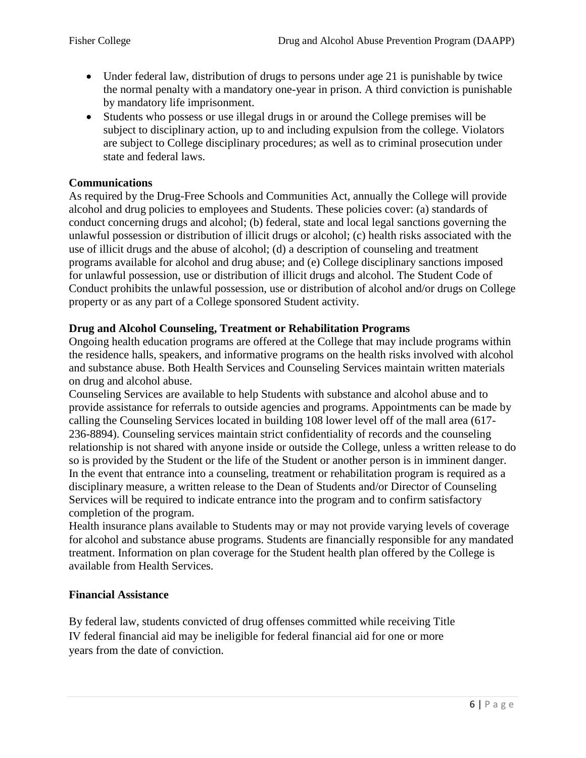- Under federal law, distribution of drugs to persons under age 21 is punishable by twice the normal penalty with a mandatory one-year in prison. A third conviction is punishable by mandatory life imprisonment.
- Students who possess or use illegal drugs in or around the College premises will be subject to disciplinary action, up to and including expulsion from the college. Violators are subject to College disciplinary procedures; as well as to criminal prosecution under state and federal laws.

#### **Communications**

As required by the Drug-Free Schools and Communities Act, annually the College will provide alcohol and drug policies to employees and Students. These policies cover: (a) standards of conduct concerning drugs and alcohol; (b) federal, state and local legal sanctions governing the unlawful possession or distribution of illicit drugs or alcohol; (c) health risks associated with the use of illicit drugs and the abuse of alcohol; (d) a description of counseling and treatment programs available for alcohol and drug abuse; and (e) College disciplinary sanctions imposed for unlawful possession, use or distribution of illicit drugs and alcohol. The Student Code of Conduct prohibits the unlawful possession, use or distribution of alcohol and/or drugs on College property or as any part of a College sponsored Student activity.

#### **Drug and Alcohol Counseling, Treatment or Rehabilitation Programs**

Ongoing health education programs are offered at the College that may include programs within the residence halls, speakers, and informative programs on the health risks involved with alcohol and substance abuse. Both Health Services and Counseling Services maintain written materials on drug and alcohol abuse.

Counseling Services are available to help Students with substance and alcohol abuse and to provide assistance for referrals to outside agencies and programs. Appointments can be made by calling the Counseling Services located in building 108 lower level off of the mall area (617- 236-8894). Counseling services maintain strict confidentiality of records and the counseling relationship is not shared with anyone inside or outside the College, unless a written release to do so is provided by the Student or the life of the Student or another person is in imminent danger. In the event that entrance into a counseling, treatment or rehabilitation program is required as a disciplinary measure, a written release to the Dean of Students and/or Director of Counseling Services will be required to indicate entrance into the program and to confirm satisfactory completion of the program.

Health insurance plans available to Students may or may not provide varying levels of coverage for alcohol and substance abuse programs. Students are financially responsible for any mandated treatment. Information on plan coverage for the Student health plan offered by the College is available from Health Services.

#### **Financial Assistance**

By federal law, students convicted of drug offenses committed while receiving Title IV federal financial aid may be ineligible for federal financial aid for one or more years from the date of conviction.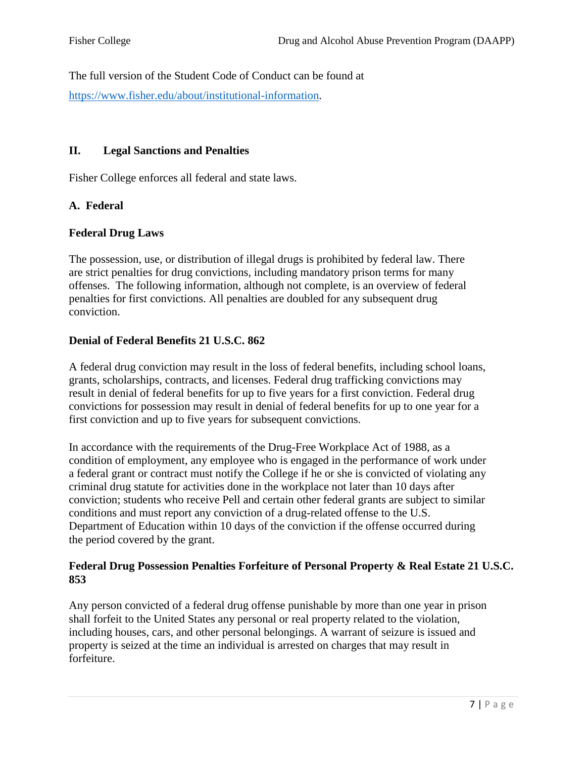The full version of the Student Code of Conduct can be found at [https://www.fisher.edu/about/institutional-information.](https://www.fisher.edu/about/institutional-information)

#### **II. Legal Sanctions and Penalties**

Fisher College enforces all federal and state laws.

#### **A. Federal**

#### **Federal Drug Laws**

The possession, use, or distribution of illegal drugs is prohibited by federal law. There are strict penalties for drug convictions, including mandatory prison terms for many offenses. The following information, although not complete, is an overview of federal penalties for first convictions. All penalties are doubled for any subsequent drug conviction.

#### **Denial of Federal Benefits 21 U.S.C. 862**

A federal drug conviction may result in the loss of federal benefits, including school loans, grants, scholarships, contracts, and licenses. Federal drug trafficking convictions may result in denial of federal benefits for up to five years for a first conviction. Federal drug convictions for possession may result in denial of federal benefits for up to one year for a first conviction and up to five years for subsequent convictions.

In accordance with the requirements of the Drug-Free Workplace Act of 1988, as a condition of employment, any employee who is engaged in the performance of work under a federal grant or contract must notify the College if he or she is convicted of violating any criminal drug statute for activities done in the workplace not later than 10 days after conviction; students who receive Pell and certain other federal grants are subject to similar conditions and must report any conviction of a drug-related offense to the U.S. Department of Education within 10 days of the conviction if the offense occurred during the period covered by the grant.

#### **Federal Drug Possession Penalties Forfeiture of Personal Property & Real Estate 21 U.S.C. 853**

Any person convicted of a federal drug offense punishable by more than one year in prison shall forfeit to the United States any personal or real property related to the violation, including houses, cars, and other personal belongings. A warrant of seizure is issued and property is seized at the time an individual is arrested on charges that may result in forfeiture.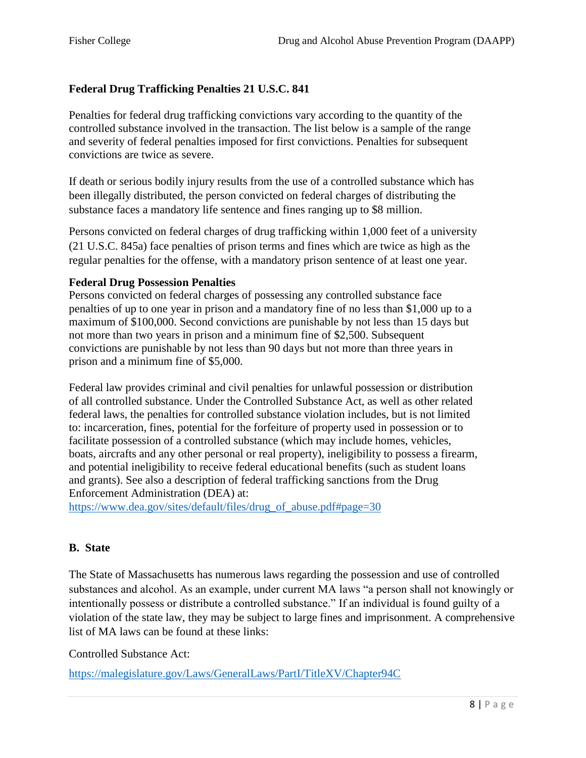## **Federal Drug Trafficking Penalties 21 U.S.C. 841**

Penalties for federal drug trafficking convictions vary according to the quantity of the controlled substance involved in the transaction. The list below is a sample of the range and severity of federal penalties imposed for first convictions. Penalties for subsequent convictions are twice as severe.

If death or serious bodily injury results from the use of a controlled substance which has been illegally distributed, the person convicted on federal charges of distributing the substance faces a mandatory life sentence and fines ranging up to \$8 million.

Persons convicted on federal charges of drug trafficking within 1,000 feet of a university (21 U.S.C. 845a) face penalties of prison terms and fines which are twice as high as the regular penalties for the offense, with a mandatory prison sentence of at least one year.

#### **Federal Drug Possession Penalties**

Persons convicted on federal charges of possessing any controlled substance face penalties of up to one year in prison and a mandatory fine of no less than \$1,000 up to a maximum of \$100,000. Second convictions are punishable by not less than 15 days but not more than two years in prison and a minimum fine of \$2,500. Subsequent convictions are punishable by not less than 90 days but not more than three years in prison and a minimum fine of \$5,000.

Federal law provides criminal and civil penalties for unlawful possession or distribution of all controlled substance. Under the Controlled Substance Act, as well as other related federal laws, the penalties for controlled substance violation includes, but is not limited to: incarceration, fines, potential for the forfeiture of property used in possession or to facilitate possession of a controlled substance (which may include homes, vehicles, boats, aircrafts and any other personal or real property), ineligibility to possess a firearm, and potential ineligibility to receive federal educational benefits (such as student loans and grants). See also a description of federal trafficking sanctions from the Drug Enforcement Administration (DEA) at:

[https://www.dea.gov/sites/default/files/drug\\_of\\_abuse.pdf#page=30](https://www.dea.gov/sites/default/files/drug_of_abuse.pdf#page=30)

## **B. State**

The State of Massachusetts has numerous laws regarding the possession and use of controlled substances and alcohol. As an example, under current MA laws "a person shall not knowingly or intentionally possess or distribute a controlled substance." If an individual is found guilty of a violation of the state law, they may be subject to large fines and imprisonment. A comprehensive list of MA laws can be found at these links:

Controlled Substance Act:

<https://malegislature.gov/Laws/GeneralLaws/PartI/TitleXV/Chapter94C>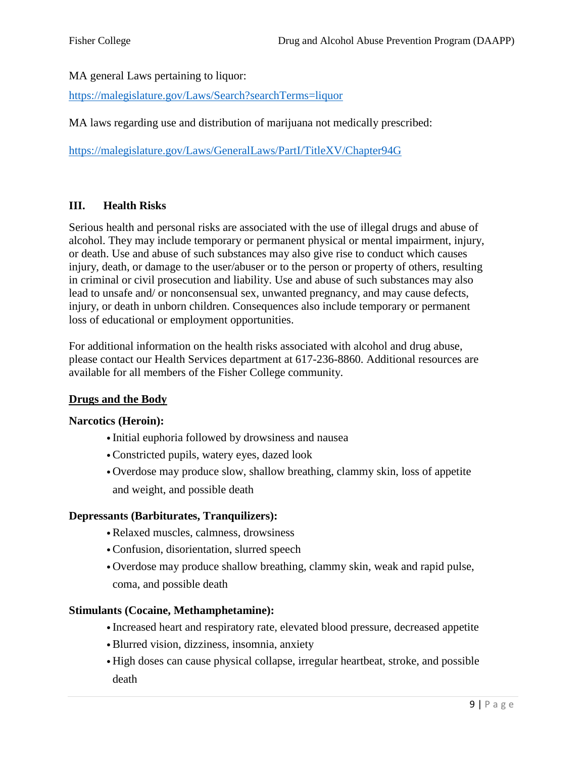MA general Laws pertaining to liquor:

<https://malegislature.gov/Laws/Search?searchTerms=liquor>

MA laws regarding use and distribution of marijuana not medically prescribed:

<https://malegislature.gov/Laws/GeneralLaws/PartI/TitleXV/Chapter94G>

# **III. Health Risks**

Serious health and personal risks are associated with the use of illegal drugs and abuse of alcohol. They may include temporary or permanent physical or mental impairment, injury, or death. Use and abuse of such substances may also give rise to conduct which causes injury, death, or damage to the user/abuser or to the person or property of others, resulting in criminal or civil prosecution and liability. Use and abuse of such substances may also lead to unsafe and/ or nonconsensual sex, unwanted pregnancy, and may cause defects, injury, or death in unborn children. Consequences also include temporary or permanent loss of educational or employment opportunities.

For additional information on the health risks associated with alcohol and drug abuse, please contact our Health Services department at 617-236-8860. Additional resources are available for all members of the Fisher College community.

## **Drugs and the Body**

## **Narcotics (Heroin):**

- Initial euphoria followed by drowsiness and nausea
- •Constricted pupils, watery eyes, dazed look
- •Overdose may produce slow, shallow breathing, clammy skin, loss of appetite and weight, and possible death

## **Depressants (Barbiturates, Tranquilizers):**

- •Relaxed muscles, calmness, drowsiness
- •Confusion, disorientation, slurred speech
- •Overdose may produce shallow breathing, clammy skin, weak and rapid pulse, coma, and possible death

## **Stimulants (Cocaine, Methamphetamine):**

- Increased heart and respiratory rate, elevated blood pressure, decreased appetite
- •Blurred vision, dizziness, insomnia, anxiety
- •High doses can cause physical collapse, irregular heartbeat, stroke, and possible death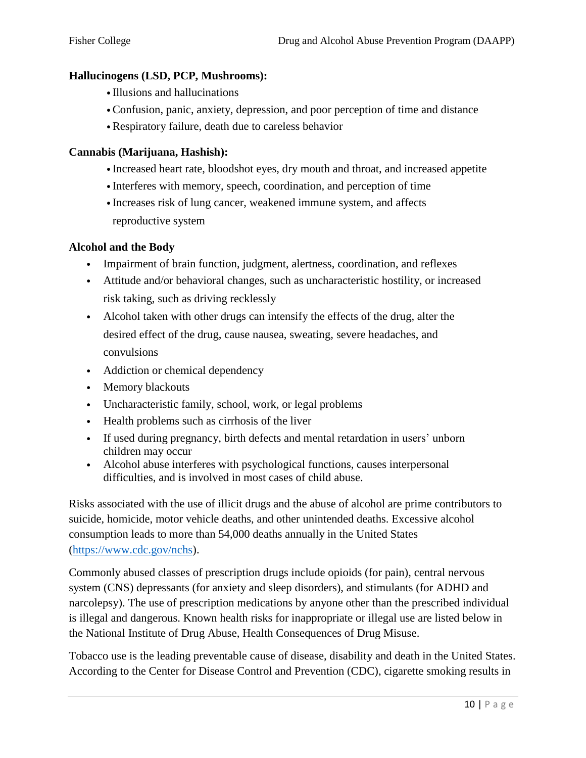#### **Hallucinogens (LSD, PCP, Mushrooms):**

- Illusions and hallucinations
- •Confusion, panic, anxiety, depression, and poor perception of time and distance
- •Respiratory failure, death due to careless behavior

#### **Cannabis (Marijuana, Hashish):**

- Increased heart rate, bloodshot eyes, dry mouth and throat, and increased appetite
- Interferes with memory, speech, coordination, and perception of time
- Increases risk of lung cancer, weakened immune system, and affects reproductive system

#### **Alcohol and the Body**

- Impairment of brain function, judgment, alertness, coordination, and reflexes
- Attitude and/or behavioral changes, such as uncharacteristic hostility, or increased risk taking, such as driving recklessly
- Alcohol taken with other drugs can intensify the effects of the drug, alter the desired effect of the drug, cause nausea, sweating, severe headaches, and convulsions
- Addiction or chemical dependency
- Memory blackouts
- Uncharacteristic family, school, work, or legal problems
- Health problems such as cirrhosis of the liver
- If used during pregnancy, birth defects and mental retardation in users' unborn children may occur
- Alcohol abuse interferes with psychological functions, causes interpersonal difficulties, and is involved in most cases of child abuse.

Risks associated with the use of illicit drugs and the abuse of alcohol are prime contributors to suicide, homicide, motor vehicle deaths, and other unintended deaths. Excessive alcohol consumption leads to more than 54,000 deaths annually in the United States [\(https://www.cdc.gov/nchs\)](https://www.cdc.gov/nchs).

Commonly abused classes of prescription drugs include opioids (for pain), central nervous system (CNS) depressants (for anxiety and sleep disorders), and stimulants (for ADHD and narcolepsy). The use of prescription medications by anyone other than the prescribed individual is illegal and dangerous. Known health risks for inappropriate or illegal use are listed below in the National Institute of Drug Abuse, Health Consequences of Drug Misuse.

Tobacco use is the leading preventable cause of disease, disability and death in the United States. According to the Center for Disease Control and Prevention (CDC), cigarette smoking results in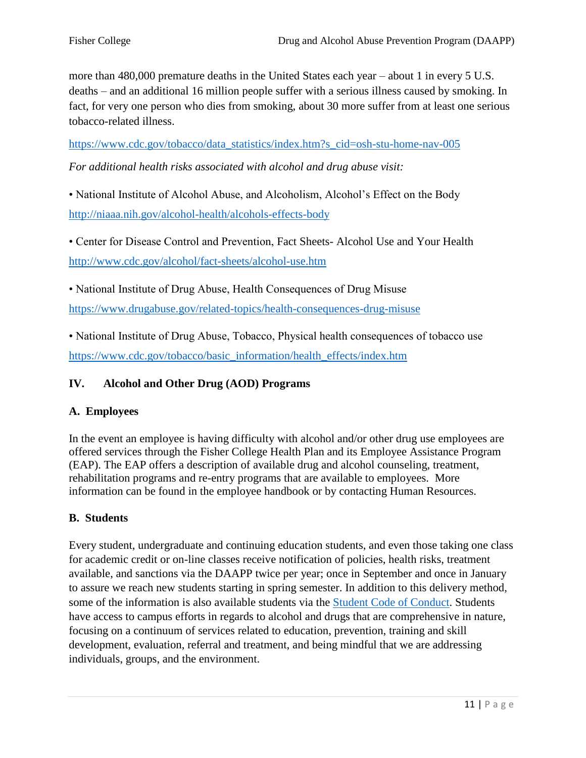more than 480,000 premature deaths in the United States each year – about 1 in every 5 U.S. deaths – and an additional 16 million people suffer with a serious illness caused by smoking. In fact, for very one person who dies from smoking, about 30 more suffer from at least one serious tobacco-related illness.

[https://www.cdc.gov/tobacco/data\\_statistics/index.htm?s\\_cid=osh-stu-home-nav-005](https://www.cdc.gov/tobacco/data_statistics/index.htm?s_cid=osh-stu-home-nav-005)

*For additional health risks associated with alcohol and drug abuse visit:* 

• National Institute of Alcohol Abuse, and Alcoholism, Alcohol's Effect on the Body <http://niaaa.nih.gov/alcohol-health/alcohols-effects-body>

• Center for Disease Control and Prevention, Fact Sheets- Alcohol Use and Your Health <http://www.cdc.gov/alcohol/fact-sheets/alcohol-use.htm>

• National Institute of Drug Abuse, Health Consequences of Drug Misuse <https://www.drugabuse.gov/related-topics/health-consequences-drug-misuse>

• National Institute of Drug Abuse, Tobacco, Physical health consequences of tobacco use [https://www.cdc.gov/tobacco/basic\\_information/health\\_effects/index.htm](https://www.cdc.gov/tobacco/basic_information/health_effects/index.htm)

## **IV. Alcohol and Other Drug (AOD) Programs**

## **A. Employees**

In the event an employee is having difficulty with alcohol and/or other drug use employees are offered services through the Fisher College Health Plan and its Employee Assistance Program (EAP). The EAP offers a description of available drug and alcohol counseling, treatment, rehabilitation programs and re-entry programs that are available to employees. More information can be found in the employee handbook or by contacting Human Resources.

## **B. Students**

Every student, undergraduate and continuing education students, and even those taking one class for academic credit or on-line classes receive notification of policies, health risks, treatment available, and sanctions via the DAAPP twice per year; once in September and once in January to assure we reach new students starting in spring semester. In addition to this delivery method, some of the information is also available students via the [Student Code of Conduct.](https://resources.finalsite.net/images/v1632254426/fisheredu/oadq75uya1wkrvt03o65/2021-2022StudentCodeofConductAppendixAB.pdf) Students have access to campus efforts in regards to alcohol and drugs that are comprehensive in nature, focusing on a continuum of services related to education, prevention, training and skill development, evaluation, referral and treatment, and being mindful that we are addressing individuals, groups, and the environment.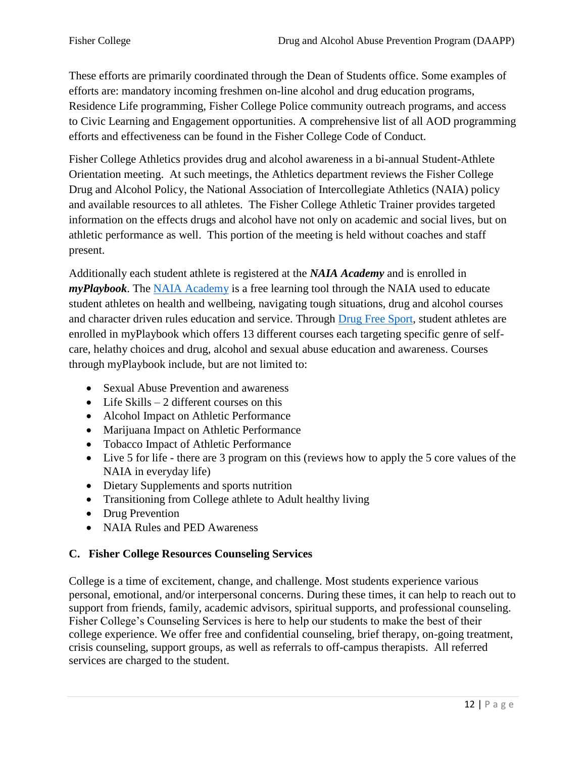These efforts are primarily coordinated through the Dean of Students office. Some examples of efforts are: mandatory incoming freshmen on-line alcohol and drug education programs, Residence Life programming, Fisher College Police community outreach programs, and access to Civic Learning and Engagement opportunities. A comprehensive list of all AOD programming efforts and effectiveness can be found in the Fisher College Code of Conduct.

Fisher College Athletics provides drug and alcohol awareness in a bi-annual Student-Athlete Orientation meeting. At such meetings, the Athletics department reviews the Fisher College Drug and Alcohol Policy, the National Association of Intercollegiate Athletics (NAIA) policy and available resources to all athletes. The Fisher College Athletic Trainer provides targeted information on the effects drugs and alcohol have not only on academic and social lives, but on athletic performance as well. This portion of the meeting is held without coaches and staff present.

Additionally each student athlete is registered at the *NAIA Academy* and is enrolled in *myPlaybook*. The [NAIA Academy](https://naia.learnpointlms.com/Default.asp?) is a free learning tool through the NAIA used to educate student athletes on health and wellbeing, navigating tough situations, drug and alcohol courses and character driven rules education and service. Through [Drug Free Sport,](https://www.drugfreesport.com/education/axis/) student athletes are enrolled in myPlaybook which offers 13 different courses each targeting specific genre of selfcare, helathy choices and drug, alcohol and sexual abuse education and awareness. Courses through myPlaybook include, but are not limited to:

- Sexual Abuse Prevention and awareness
- $\bullet$  Life Skills 2 different courses on this
- Alcohol Impact on Athletic Performance
- Marijuana Impact on Athletic Performance
- Tobacco Impact of Athletic Performance
- Live 5 for life there are 3 program on this (reviews how to apply the 5 core values of the NAIA in everyday life)
- Dietary Supplements and sports nutrition
- Transitioning from College athlete to Adult healthy living
- Drug Prevention
- NAIA Rules and PED Awareness

## **C. Fisher College Resources Counseling Services**

College is a time of excitement, change, and challenge. Most students experience various personal, emotional, and/or interpersonal concerns. During these times, it can help to reach out to support from friends, family, academic advisors, spiritual supports, and professional counseling. Fisher College's Counseling Services is here to help our students to make the best of their college experience. We offer free and confidential counseling, brief therapy, on-going treatment, crisis counseling, support groups, as well as referrals to off-campus therapists. All referred services are charged to the student.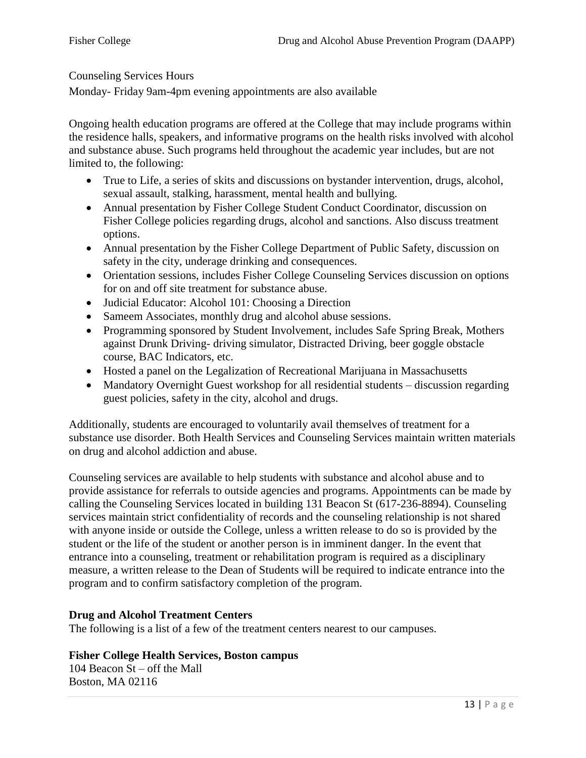#### Counseling Services Hours

Monday- Friday 9am-4pm evening appointments are also available

Ongoing health education programs are offered at the College that may include programs within the residence halls, speakers, and informative programs on the health risks involved with alcohol and substance abuse. Such programs held throughout the academic year includes, but are not limited to, the following:

- True to Life, a series of skits and discussions on bystander intervention, drugs, alcohol, sexual assault, stalking, harassment, mental health and bullying.
- Annual presentation by Fisher College Student Conduct Coordinator, discussion on Fisher College policies regarding drugs, alcohol and sanctions. Also discuss treatment options.
- Annual presentation by the Fisher College Department of Public Safety, discussion on safety in the city, underage drinking and consequences.
- Orientation sessions, includes Fisher College Counseling Services discussion on options for on and off site treatment for substance abuse.
- Judicial Educator: Alcohol 101: Choosing a Direction
- Sameem Associates, monthly drug and alcohol abuse sessions.
- Programming sponsored by Student Involvement, includes Safe Spring Break, Mothers against Drunk Driving- driving simulator, Distracted Driving, beer goggle obstacle course, BAC Indicators, etc.
- Hosted a panel on the Legalization of Recreational Marijuana in Massachusetts
- Mandatory Overnight Guest workshop for all residential students discussion regarding guest policies, safety in the city, alcohol and drugs.

Additionally, students are encouraged to voluntarily avail themselves of treatment for a substance use disorder. Both Health Services and Counseling Services maintain written materials on drug and alcohol addiction and abuse.

Counseling services are available to help students with substance and alcohol abuse and to provide assistance for referrals to outside agencies and programs. Appointments can be made by calling the Counseling Services located in building 131 Beacon St (617-236-8894). Counseling services maintain strict confidentiality of records and the counseling relationship is not shared with anyone inside or outside the College, unless a written release to do so is provided by the student or the life of the student or another person is in imminent danger. In the event that entrance into a counseling, treatment or rehabilitation program is required as a disciplinary measure, a written release to the Dean of Students will be required to indicate entrance into the program and to confirm satisfactory completion of the program.

## **Drug and Alcohol Treatment Centers**

The following is a list of a few of the treatment centers nearest to our campuses.

## **Fisher College Health Services, Boston campus**

104 Beacon St – off the Mall Boston, MA 02116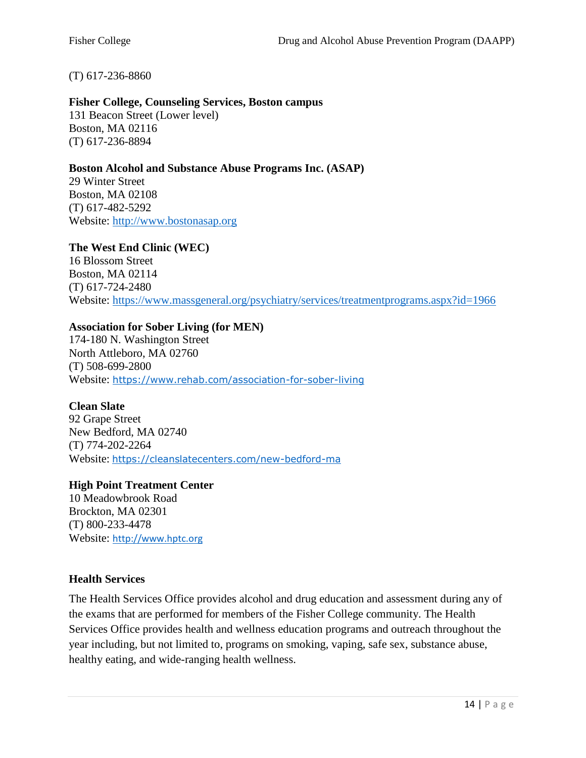(T) 617-236-8860

#### **Fisher College, Counseling Services, Boston campus** 131 Beacon Street (Lower level) Boston, MA 02116 (T) 617-236-8894

## **Boston Alcohol and Substance Abuse Programs Inc. (ASAP)**

29 Winter Street Boston, MA 02108 (T) 617-482-5292 Website: [http://www.bostonasap.org](http://www.bostonasap.org/)

## **The West End Clinic (WEC)**

16 Blossom Street Boston, MA 02114 (T) 617-724-2480 Website:<https://www.massgeneral.org/psychiatry/services/treatmentprograms.aspx?id=1966>

# **Association for Sober Living (for MEN)**

174-180 N. Washington Street North Attleboro, MA 02760 (T) 508-699-2800 Website: <https://www.rehab.com/association-for-sober-living>

## **Clean Slate**

92 Grape Street New Bedford, MA 02740 (T) 774-202-2264 Website: <https://cleanslatecenters.com/new-bedford-ma>

## **High Point Treatment Center**

10 Meadowbrook Road Brockton, MA 02301 (T) 800-233-4478 Website: [http://www.hptc.org](http://www.hptc.org/)

## **Health Services**

The Health Services Office provides alcohol and drug education and assessment during any of the exams that are performed for members of the Fisher College community. The Health Services Office provides health and wellness education programs and outreach throughout the year including, but not limited to, programs on smoking, vaping, safe sex, substance abuse, healthy eating, and wide-ranging health wellness.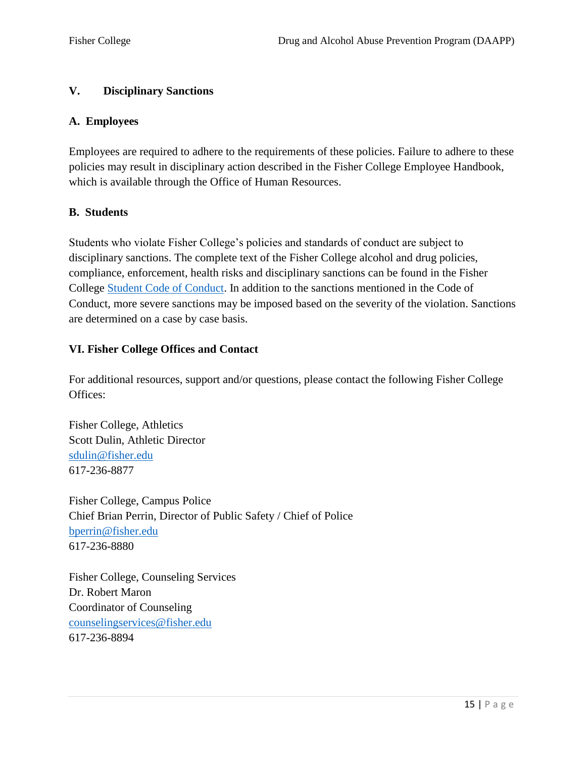# **V. Disciplinary Sanctions**

## **A. Employees**

Employees are required to adhere to the requirements of these policies. Failure to adhere to these policies may result in disciplinary action described in the Fisher College Employee Handbook, which is available through the Office of Human Resources.

## **B. Students**

Students who violate Fisher College's policies and standards of conduct are subject to disciplinary sanctions. The complete text of the Fisher College alcohol and drug policies, compliance, enforcement, health risks and disciplinary sanctions can be found in the Fisher College [Student Code of Conduct.](https://resources.finalsite.net/images/v1568229859/fisheredu/yrrharhinsyxjdjkscwt/StudentCodeofConduct2019-2020final.pdf) In addition to the sanctions mentioned in the Code of Conduct, more severe sanctions may be imposed based on the severity of the violation. Sanctions are determined on a case by case basis.

## **VI. Fisher College Offices and Contact**

For additional resources, support and/or questions, please contact the following Fisher College Offices:

Fisher College, Athletics Scott Dulin, Athletic Director [sdulin@fisher.edu](mailto:sdulin@fisher.edu) 617-236-8877

Fisher College, Campus Police Chief Brian Perrin, Director of Public Safety / Chief of Police [bperrin@fisher.edu](mailto:bperrin@fisher.edu) 617-236-8880

Fisher College, Counseling Services Dr. Robert Maron Coordinator of Counseling [counselingservices@fisher.edu](mailto:counselingservices@fisher.edu) 617-236-8894